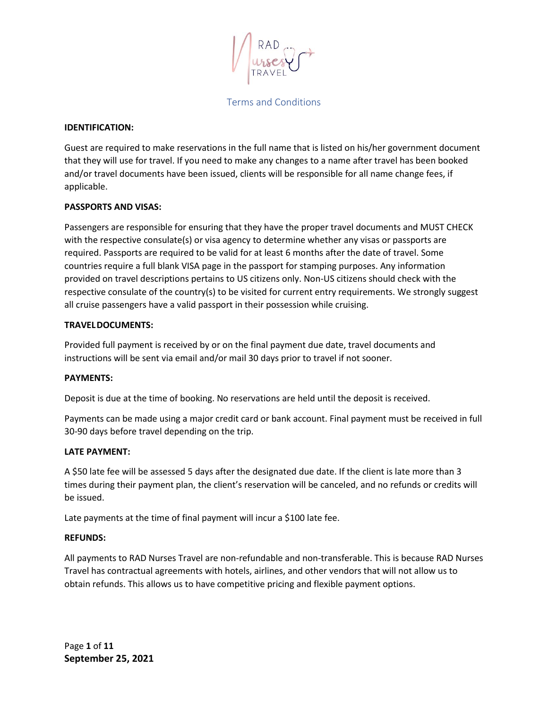### **IDENTIFICATION:**

Guest are required to make reservations in the full name that is listed on his/her government document that they will use for travel. If you need to make any changes to a name after travel has been booked and/or travel documents have been issued, clients will be responsible for all name change fees, if applicable.

### **PASSPORTS AND VISAS:**

Passengers are responsible for ensuring that they have the proper travel documents and MUST CHECK with the respective consulate(s) or visa agency to determine whether any visas or passports are required. Passports are required to be valid for at least 6 months after the date of travel. Some countries require a full blank VISA page in the passport for stamping purposes. Any information provided on travel descriptions pertains to US citizens only. Non-US citizens should check with the respective consulate of the country(s) to be visited for current entry requirements. We strongly suggest all cruise passengers have a valid passport in their possession while cruising.

### **TRAVELDOCUMENTS:**

Provided full payment is received by or on the final payment due date, travel documents and instructions will be sent via email and/or mail 30 days prior to travel if not sooner.

#### **PAYMENTS:**

Deposit is due at the time of booking. No reservations are held until the deposit is received.

Payments can be made using a major credit card or bank account. Final payment must be received in full 30-90 days before travel depending on the trip.

#### **LATE PAYMENT:**

A \$50 late fee will be assessed 5 days after the designated due date. If the client is late more than 3 times during their payment plan, the client's reservation will be canceled, and no refunds or credits will be issued.

Late payments at the time of final payment will incur a \$100 late fee.

#### **REFUNDS:**

All payments to RAD Nurses Travel are non-refundable and non-transferable. This is because RAD Nurses Travel has contractual agreements with hotels, airlines, and other vendors that will not allow us to obtain refunds. This allows us to have competitive pricing and flexible payment options.

Page **1** of **11 September 25, 2021**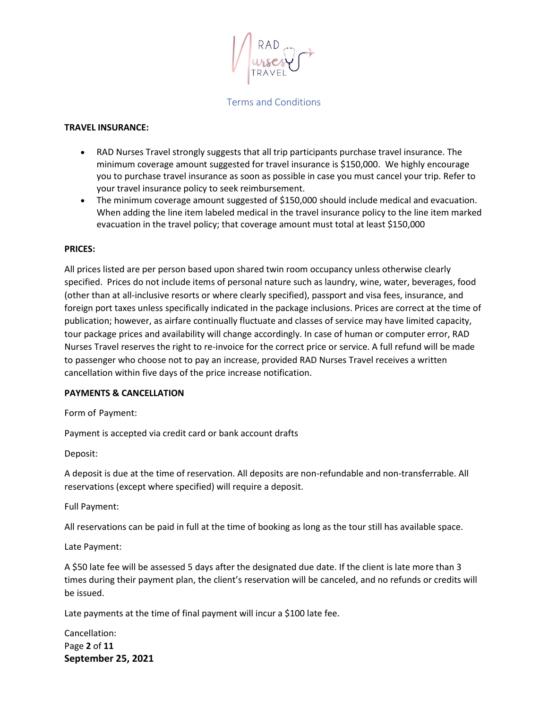### **TRAVEL INSURANCE:**

- RAD Nurses Travel strongly suggests that all trip participants purchase travel insurance. The minimum coverage amount suggested for travel insurance is \$150,000. We highly encourage you to purchase travel insurance as soon as possible in case you must cancel your trip. Refer to your travel insurance policy to seek reimbursement.
- The minimum coverage amount suggested of \$150,000 should include medical and evacuation. When adding the line item labeled medical in the travel insurance policy to the line item marked evacuation in the travel policy; that coverage amount must total at least \$150,000

### **PRICES:**

All prices listed are per person based upon shared twin room occupancy unless otherwise clearly specified. Prices do not include items of personal nature such as laundry, wine, water, beverages, food (other than at all-inclusive resorts or where clearly specified), passport and visa fees, insurance, and foreign port taxes unless specifically indicated in the package inclusions. Prices are correct at the time of publication; however, as airfare continually fluctuate and classes of service may have limited capacity, tour package prices and availability will change accordingly. In case of human or computer error, RAD Nurses Travel reserves the right to re-invoice for the correct price or service. A full refund will be made to passenger who choose not to pay an increase, provided RAD Nurses Travel receives a written cancellation within five days of the price increase notification.

#### **PAYMENTS & CANCELLATION**

Form of Payment:

Payment is accepted via credit card or bank account drafts

Deposit:

A deposit is due at the time of reservation. All deposits are non-refundable and non-transferrable. All reservations (except where specified) will require a deposit.

Full Payment:

All reservations can be paid in full at the time of booking as long as the tour still has available space.

Late Payment:

A \$50 late fee will be assessed 5 days after the designated due date. If the client is late more than 3 times during their payment plan, the client's reservation will be canceled, and no refunds or credits will be issued.

Late payments at the time of final payment will incur a \$100 late fee.

Page **2** of **11 September 25, 2021** Cancellation: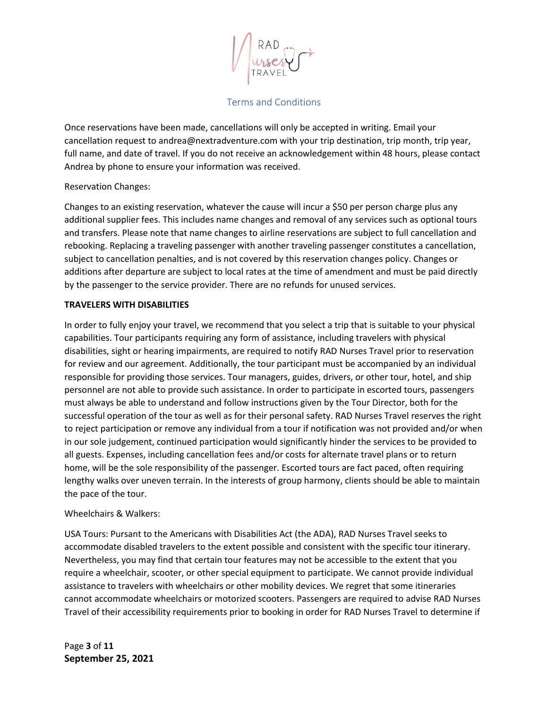Once reservations have been made, cancellations will only be accepted in writing. Email your cancellation request to andrea@nextradventure.com with your trip destination, trip month, trip year, full name, and date of travel. If you do not receive an acknowledgement within 48 hours, please contact Andrea by phone to ensure your information was received.

## Reservation Changes:

Changes to an existing reservation, whatever the cause will incur a \$50 per person charge plus any additional supplier fees. This includes name changes and removal of any services such as optional tours and transfers. Please note that name changes to airline reservations are subject to full cancellation and rebooking. Replacing a traveling passenger with another traveling passenger constitutes a cancellation, subject to cancellation penalties, and is not covered by this reservation changes policy. Changes or additions after departure are subject to local rates at the time of amendment and must be paid directly by the passenger to the service provider. There are no refunds for unused services.

# **TRAVELERS WITH DISABILITIES**

In order to fully enjoy your travel, we recommend that you select a trip that is suitable to your physical capabilities. Tour participants requiring any form of assistance, including travelers with physical disabilities, sight or hearing impairments, are required to notify RAD Nurses Travel prior to reservation for review and our agreement. Additionally, the tour participant must be accompanied by an individual responsible for providing those services. Tour managers, guides, drivers, or other tour, hotel, and ship personnel are not able to provide such assistance. In order to participate in escorted tours, passengers must always be able to understand and follow instructions given by the Tour Director, both for the successful operation of the tour as well as for their personal safety. RAD Nurses Travel reserves the right to reject participation or remove any individual from a tour if notification was not provided and/or when in our sole judgement, continued participation would significantly hinder the services to be provided to all guests. Expenses, including cancellation fees and/or costs for alternate travel plans or to return home, will be the sole responsibility of the passenger. Escorted tours are fact paced, often requiring lengthy walks over uneven terrain. In the interests of group harmony, clients should be able to maintain the pace of the tour.

## Wheelchairs & Walkers:

USA Tours: Pursant to the Americans with Disabilities Act (the ADA), RAD Nurses Travel seeks to accommodate disabled travelers to the extent possible and consistent with the specific tour itinerary. Nevertheless, you may find that certain tour features may not be accessible to the extent that you require a wheelchair, scooter, or other special equipment to participate. We cannot provide individual assistance to travelers with wheelchairs or other mobility devices. We regret that some itineraries cannot accommodate wheelchairs or motorized scooters. Passengers are required to advise RAD Nurses Travel of their accessibility requirements prior to booking in order for RAD Nurses Travel to determine if

Page **3** of **11 September 25, 2021**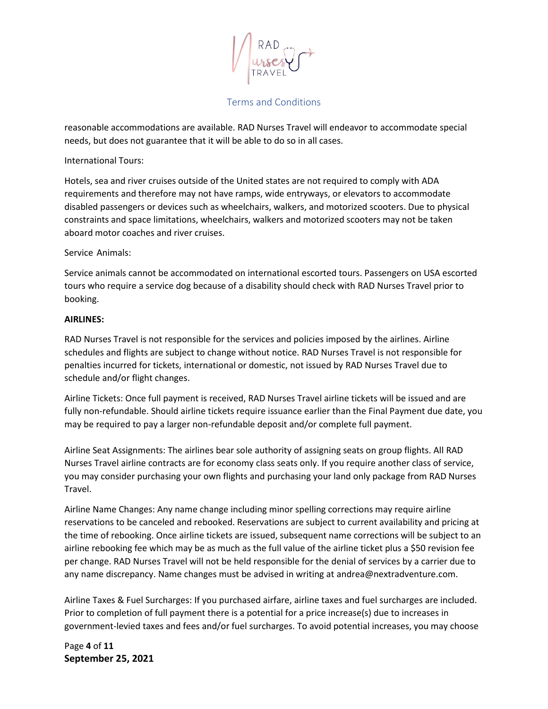

reasonable accommodations are available. RAD Nurses Travel will endeavor to accommodate special needs, but does not guarantee that it will be able to do so in all cases.

## International Tours:

Hotels, sea and river cruises outside of the United states are not required to comply with ADA requirements and therefore may not have ramps, wide entryways, or elevators to accommodate disabled passengers or devices such as wheelchairs, walkers, and motorized scooters. Due to physical constraints and space limitations, wheelchairs, walkers and motorized scooters may not be taken aboard motor coaches and river cruises.

### Service Animals:

Service animals cannot be accommodated on international escorted tours. Passengers on USA escorted tours who require a service dog because of a disability should check with RAD Nurses Travel prior to booking.

### **AIRLINES:**

RAD Nurses Travel is not responsible for the services and policies imposed by the airlines. Airline schedules and flights are subject to change without notice. RAD Nurses Travel is not responsible for penalties incurred for tickets, international or domestic, not issued by RAD Nurses Travel due to schedule and/or flight changes.

Airline Tickets: Once full payment is received, RAD Nurses Travel airline tickets will be issued and are fully non-refundable. Should airline tickets require issuance earlier than the Final Payment due date, you may be required to pay a larger non-refundable deposit and/or complete full payment.

Airline Seat Assignments: The airlines bear sole authority of assigning seats on group flights. All RAD Nurses Travel airline contracts are for economy class seats only. If you require another class of service, you may consider purchasing your own flights and purchasing your land only package from RAD Nurses Travel.

Airline Name Changes: Any name change including minor spelling corrections may require airline reservations to be canceled and rebooked. Reservations are subject to current availability and pricing at the time of rebooking. Once airline tickets are issued, subsequent name corrections will be subject to an airline rebooking fee which may be as much as the full value of the airline ticket plus a \$50 revision fee per change. RAD Nurses Travel will not be held responsible for the denial of services by a carrier due to any name discrepancy. Name changes must be advised in writing at andrea@nextradventure.com.

Airline Taxes & Fuel Surcharges: If you purchased airfare, airline taxes and fuel surcharges are included. Prior to completion of full payment there is a potential for a price increase(s) due to increases in government-levied taxes and fees and/or fuel surcharges. To avoid potential increases, you may choose

Page **4** of **11 September 25, 2021**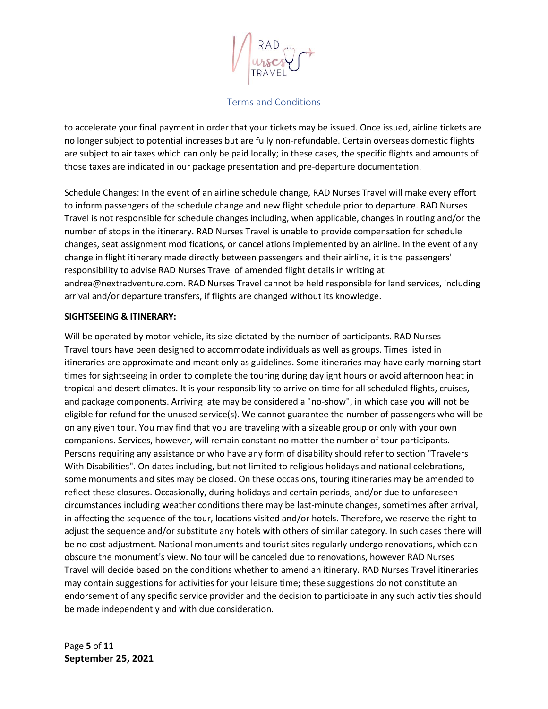to accelerate your final payment in order that your tickets may be issued. Once issued, airline tickets are no longer subject to potential increases but are fully non-refundable. Certain overseas domestic flights are subject to air taxes which can only be paid locally; in these cases, the specific flights and amounts of those taxes are indicated in our package presentation and pre-departure documentation.

Schedule Changes: In the event of an airline schedule change, RAD Nurses Travel will make every effort to inform passengers of the schedule change and new flight schedule prior to departure. RAD Nurses Travel is not responsible for schedule changes including, when applicable, changes in routing and/or the number of stops in the itinerary. RAD Nurses Travel is unable to provide compensation for schedule changes, seat assignment modifications, or cancellations implemented by an airline. In the event of any change in flight itinerary made directly between passengers and their airline, it is the passengers' responsibility to advise RAD Nurses Travel of amended flight details in writing at andrea@nextradventure.com. RAD Nurses Travel cannot be held responsible for land services, including arrival and/or departure transfers, if flights are changed without its knowledge.

### **SIGHTSEEING & ITINERARY:**

Will be operated by motor-vehicle, its size dictated by the number of participants. RAD Nurses Travel tours have been designed to accommodate individuals as well as groups. Times listed in itineraries are approximate and meant only as guidelines. Some itineraries may have early morning start times for sightseeing in order to complete the touring during daylight hours or avoid afternoon heat in tropical and desert climates. It is your responsibility to arrive on time for all scheduled flights, cruises, and package components. Arriving late may be considered a "no-show", in which case you will not be eligible for refund for the unused service(s). We cannot guarantee the number of passengers who will be on any given tour. You may find that you are traveling with a sizeable group or only with your own companions. Services, however, will remain constant no matter the number of tour participants. Persons requiring any assistance or who have any form of disability should refer to section "Travelers With Disabilities". On dates including, but not limited to religious holidays and national celebrations, some monuments and sites may be closed. On these occasions, touring itineraries may be amended to reflect these closures. Occasionally, during holidays and certain periods, and/or due to unforeseen circumstances including weather conditions there may be last-minute changes, sometimes after arrival, in affecting the sequence of the tour, locations visited and/or hotels. Therefore, we reserve the right to adjust the sequence and/or substitute any hotels with others of similar category. In such cases there will be no cost adjustment. National monuments and tourist sites regularly undergo renovations, which can obscure the monument's view. No tour will be canceled due to renovations, however RAD Nurses Travel will decide based on the conditions whether to amend an itinerary. RAD Nurses Travel itineraries may contain suggestions for activities for your leisure time; these suggestions do not constitute an endorsement of any specific service provider and the decision to participate in any such activities should be made independently and with due consideration.

Page **5** of **11 September 25, 2021**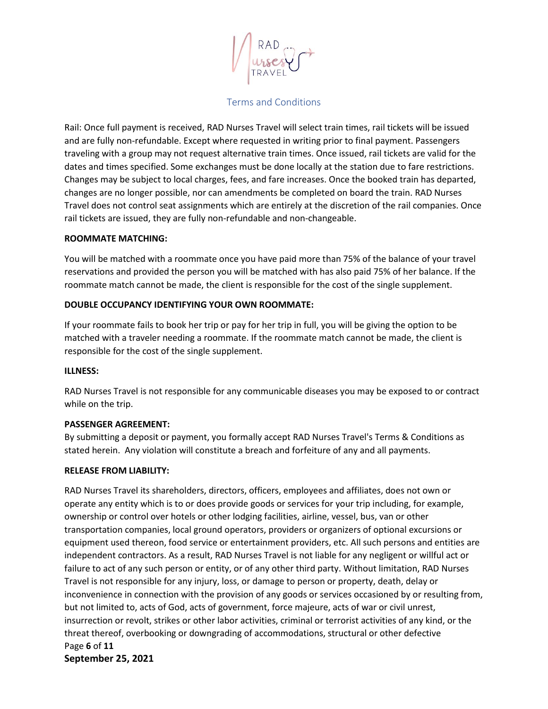Rail: Once full payment is received, RAD Nurses Travel will select train times, rail tickets will be issued and are fully non-refundable. Except where requested in writing prior to final payment. Passengers traveling with a group may not request alternative train times. Once issued, rail tickets are valid for the dates and times specified. Some exchanges must be done locally at the station due to fare restrictions. Changes may be subject to local charges, fees, and fare increases. Once the booked train has departed, changes are no longer possible, nor can amendments be completed on board the train. RAD Nurses Travel does not control seat assignments which are entirely at the discretion of the rail companies. Once rail tickets are issued, they are fully non-refundable and non-changeable.

### **ROOMMATE MATCHING:**

You will be matched with a roommate once you have paid more than 75% of the balance of your travel reservations and provided the person you will be matched with has also paid 75% of her balance. If the roommate match cannot be made, the client is responsible for the cost of the single supplement.

## **DOUBLE OCCUPANCY IDENTIFYING YOUR OWN ROOMMATE:**

If your roommate fails to book her trip or pay for her trip in full, you will be giving the option to be matched with a traveler needing a roommate. If the roommate match cannot be made, the client is responsible for the cost of the single supplement.

## **ILLNESS:**

RAD Nurses Travel is not responsible for any communicable diseases you may be exposed to or contract while on the trip.

## **PASSENGER AGREEMENT:**

By submitting a deposit or payment, you formally accept RAD Nurses Travel's Terms & Conditions as stated herein. Any violation will constitute a breach and forfeiture of any and all payments.

## **RELEASE FROM LIABILITY:**

Page **6** of **11 September 25, 2021** RAD Nurses Travel its shareholders, directors, officers, employees and affiliates, does not own or operate any entity which is to or does provide goods or services for your trip including, for example, ownership or control over hotels or other lodging facilities, airline, vessel, bus, van or other transportation companies, local ground operators, providers or organizers of optional excursions or equipment used thereon, food service or entertainment providers, etc. All such persons and entities are independent contractors. As a result, RAD Nurses Travel is not liable for any negligent or willful act or failure to act of any such person or entity, or of any other third party. Without limitation, RAD Nurses Travel is not responsible for any injury, loss, or damage to person or property, death, delay or inconvenience in connection with the provision of any goods or services occasioned by or resulting from, but not limited to, acts of God, acts of government, force majeure, acts of war or civil unrest, insurrection or revolt, strikes or other labor activities, criminal or terrorist activities of any kind, or the threat thereof, overbooking or downgrading of accommodations, structural or other defective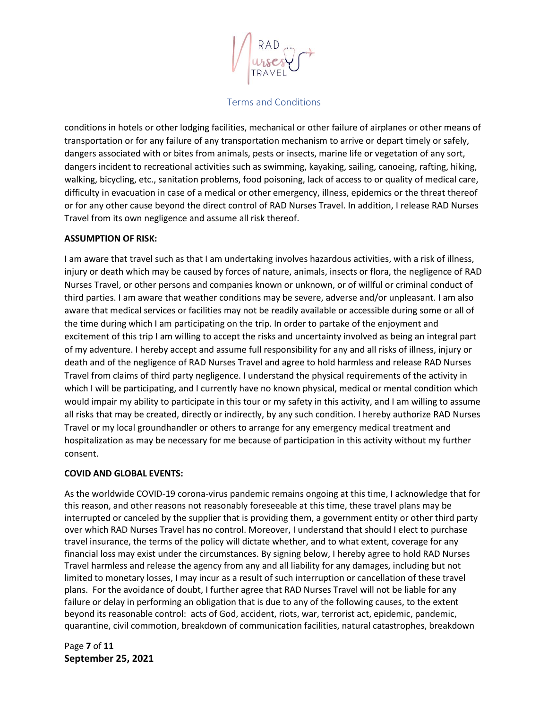conditions in hotels or other lodging facilities, mechanical or other failure of airplanes or other means of transportation or for any failure of any transportation mechanism to arrive or depart timely or safely, dangers associated with or bites from animals, pests or insects, marine life or vegetation of any sort, dangers incident to recreational activities such as swimming, kayaking, sailing, canoeing, rafting, hiking, walking, bicycling, etc., sanitation problems, food poisoning, lack of access to or quality of medical care, difficulty in evacuation in case of a medical or other emergency, illness, epidemics or the threat thereof or for any other cause beyond the direct control of RAD Nurses Travel. In addition, I release RAD Nurses Travel from its own negligence and assume all risk thereof.

## **ASSUMPTION OF RISK:**

I am aware that travel such as that I am undertaking involves hazardous activities, with a risk of illness, injury or death which may be caused by forces of nature, animals, insects or flora, the negligence of RAD Nurses Travel, or other persons and companies known or unknown, or of willful or criminal conduct of third parties. I am aware that weather conditions may be severe, adverse and/or unpleasant. I am also aware that medical services or facilities may not be readily available or accessible during some or all of the time during which I am participating on the trip. In order to partake of the enjoyment and excitement of this trip I am willing to accept the risks and uncertainty involved as being an integral part of my adventure. I hereby accept and assume full responsibility for any and all risks of illness, injury or death and of the negligence of RAD Nurses Travel and agree to hold harmless and release RAD Nurses Travel from claims of third party negligence. I understand the physical requirements of the activity in which I will be participating, and I currently have no known physical, medical or mental condition which would impair my ability to participate in this tour or my safety in this activity, and I am willing to assume all risks that may be created, directly or indirectly, by any such condition. I hereby authorize RAD Nurses Travel or my local groundhandler or others to arrange for any emergency medical treatment and hospitalization as may be necessary for me because of participation in this activity without my further consent.

# **COVID AND GLOBAL EVENTS:**

As the worldwide COVID-19 corona-virus pandemic remains ongoing at this time, I acknowledge that for this reason, and other reasons not reasonably foreseeable at this time, these travel plans may be interrupted or canceled by the supplier that is providing them, a government entity or other third party over which RAD Nurses Travel has no control. Moreover, I understand that should I elect to purchase travel insurance, the terms of the policy will dictate whether, and to what extent, coverage for any financial loss may exist under the circumstances. By signing below, I hereby agree to hold RAD Nurses Travel harmless and release the agency from any and all liability for any damages, including but not limited to monetary losses, I may incur as a result of such interruption or cancellation of these travel plans. For the avoidance of doubt, I further agree that RAD Nurses Travel will not be liable for any failure or delay in performing an obligation that is due to any of the following causes, to the extent beyond its reasonable control: acts of God, accident, riots, war, terrorist act, epidemic, pandemic, quarantine, civil commotion, breakdown of communication facilities, natural catastrophes, breakdown

Page **7** of **11 September 25, 2021**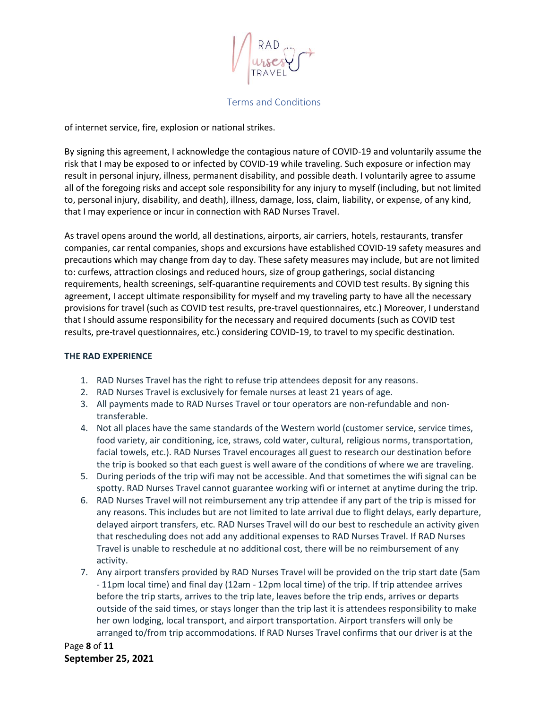

of internet service, fire, explosion or national strikes.

By signing this agreement, I acknowledge the contagious nature of COVID-19 and voluntarily assume the risk that I may be exposed to or infected by COVID-19 while traveling. Such exposure or infection may result in personal injury, illness, permanent disability, and possible death. I voluntarily agree to assume all of the foregoing risks and accept sole responsibility for any injury to myself (including, but not limited to, personal injury, disability, and death), illness, damage, loss, claim, liability, or expense, of any kind, that I may experience or incur in connection with RAD Nurses Travel.

As travel opens around the world, all destinations, airports, air carriers, hotels, restaurants, transfer companies, car rental companies, shops and excursions have established COVID-19 safety measures and precautions which may change from day to day. These safety measures may include, but are not limited to: curfews, attraction closings and reduced hours, size of group gatherings, social distancing requirements, health screenings, self-quarantine requirements and COVID test results. By signing this agreement, I accept ultimate responsibility for myself and my traveling party to have all the necessary provisions for travel (such as COVID test results, pre-travel questionnaires, etc.) Moreover, I understand that I should assume responsibility for the necessary and required documents (such as COVID test results, pre-travel questionnaires, etc.) considering COVID-19, to travel to my specific destination.

## **THE RAD EXPERIENCE**

- 1. RAD Nurses Travel has the right to refuse trip attendees deposit for any reasons.
- 2. RAD Nurses Travel is exclusively for female nurses at least 21 years of age.
- 3. All payments made to RAD Nurses Travel or tour operators are non-refundable and nontransferable.
- 4. Not all places have the same standards of the Western world (customer service, service times, food variety, air conditioning, ice, straws, cold water, cultural, religious norms, transportation, facial towels, etc.). RAD Nurses Travel encourages all guest to research our destination before the trip is booked so that each guest is well aware of the conditions of where we are traveling.
- 5. During periods of the trip wifi may not be accessible. And that sometimes the wifi signal can be spotty. RAD Nurses Travel cannot guarantee working wifi or internet at anytime during the trip.
- 6. RAD Nurses Travel will not reimbursement any trip attendee if any part of the trip is missed for any reasons. This includes but are not limited to late arrival due to flight delays, early departure, delayed airport transfers, etc. RAD Nurses Travel will do our best to reschedule an activity given that rescheduling does not add any additional expenses to RAD Nurses Travel. If RAD Nurses Travel is unable to reschedule at no additional cost, there will be no reimbursement of any activity.
- 7. Any airport transfers provided by RAD Nurses Travel will be provided on the trip start date (5am - 11pm local time) and final day (12am - 12pm local time) of the trip. If trip attendee arrives before the trip starts, arrives to the trip late, leaves before the trip ends, arrives or departs outside of the said times, or stays longer than the trip last it is attendees responsibility to make her own lodging, local transport, and airport transportation. Airport transfers will only be arranged to/from trip accommodations. If RAD Nurses Travel confirms that our driver is at the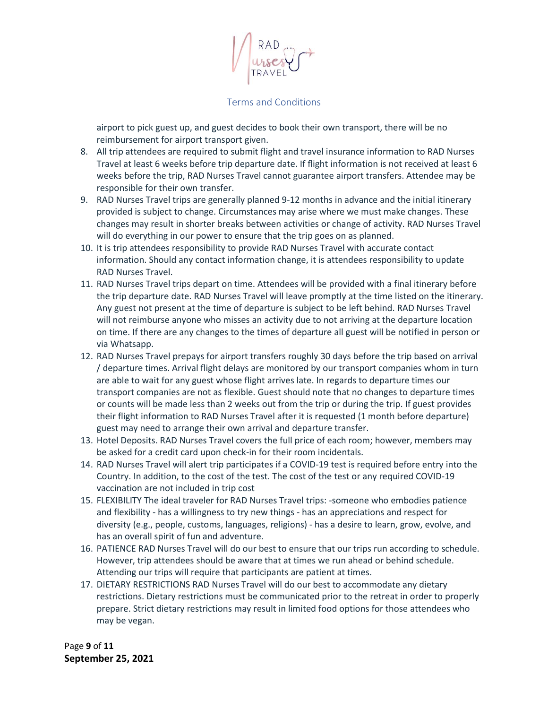airport to pick guest up, and guest decides to book their own transport, there will be no reimbursement for airport transport given.

- 8. All trip attendees are required to submit flight and travel insurance information to RAD Nurses Travel at least 6 weeks before trip departure date. If flight information is not received at least 6 weeks before the trip, RAD Nurses Travel cannot guarantee airport transfers. Attendee may be responsible for their own transfer.
- 9. RAD Nurses Travel trips are generally planned 9-12 months in advance and the initial itinerary provided is subject to change. Circumstances may arise where we must make changes. These changes may result in shorter breaks between activities or change of activity. RAD Nurses Travel will do everything in our power to ensure that the trip goes on as planned.
- 10. It is trip attendees responsibility to provide RAD Nurses Travel with accurate contact information. Should any contact information change, it is attendees responsibility to update RAD Nurses Travel.
- 11. RAD Nurses Travel trips depart on time. Attendees will be provided with a final itinerary before the trip departure date. RAD Nurses Travel will leave promptly at the time listed on the itinerary. Any guest not present at the time of departure is subject to be left behind. RAD Nurses Travel will not reimburse anyone who misses an activity due to not arriving at the departure location on time. If there are any changes to the times of departure all guest will be notified in person or via Whatsapp.
- 12. RAD Nurses Travel prepays for airport transfers roughly 30 days before the trip based on arrival / departure times. Arrival flight delays are monitored by our transport companies whom in turn are able to wait for any guest whose flight arrives late. In regards to departure times our transport companies are not as flexible. Guest should note that no changes to departure times or counts will be made less than 2 weeks out from the trip or during the trip. If guest provides their flight information to RAD Nurses Travel after it is requested (1 month before departure) guest may need to arrange their own arrival and departure transfer.
- 13. Hotel Deposits. RAD Nurses Travel covers the full price of each room; however, members may be asked for a credit card upon check-in for their room incidentals.
- 14. RAD Nurses Travel will alert trip participates if a COVID-19 test is required before entry into the Country. In addition, to the cost of the test. The cost of the test or any required COVID-19 vaccination are not included in trip cost
- 15. FLEXIBILITY The ideal traveler for RAD Nurses Travel trips: -someone who embodies patience and flexibility - has a willingness to try new things - has an appreciations and respect for diversity (e.g., people, customs, languages, religions) - has a desire to learn, grow, evolve, and has an overall spirit of fun and adventure.
- 16. PATIENCE RAD Nurses Travel will do our best to ensure that our trips run according to schedule. However, trip attendees should be aware that at times we run ahead or behind schedule. Attending our trips will require that participants are patient at times.
- 17. DIETARY RESTRICTIONS RAD Nurses Travel will do our best to accommodate any dietary restrictions. Dietary restrictions must be communicated prior to the retreat in order to properly prepare. Strict dietary restrictions may result in limited food options for those attendees who may be vegan.

Page **9** of **11 September 25, 2021**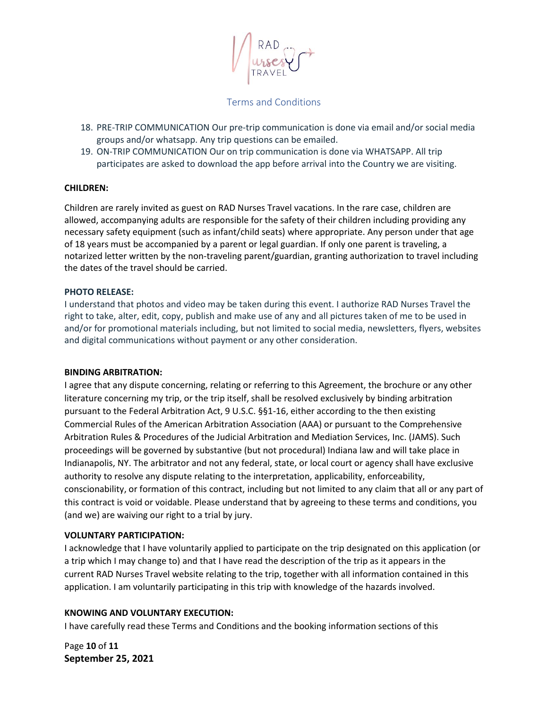- 18. PRE-TRIP COMMUNICATION Our pre-trip communication is done via email and/or social media groups and/or whatsapp. Any trip questions can be emailed.
- 19. ON-TRIP COMMUNICATION Our on trip communication is done via WHATSAPP. All trip participates are asked to download the app before arrival into the Country we are visiting.

### **CHILDREN:**

Children are rarely invited as guest on RAD Nurses Travel vacations. In the rare case, children are allowed, accompanying adults are responsible for the safety of their children including providing any necessary safety equipment (such as infant/child seats) where appropriate. Any person under that age of 18 years must be accompanied by a parent or legal guardian. If only one parent is traveling, a notarized letter written by the non-traveling parent/guardian, granting authorization to travel including the dates of the travel should be carried.

### **PHOTO RELEASE:**

I understand that photos and video may be taken during this event. I authorize RAD Nurses Travel the right to take, alter, edit, copy, publish and make use of any and all pictures taken of me to be used in and/or for promotional materials including, but not limited to social media, newsletters, flyers, websites and digital communications without payment or any other consideration.

#### **BINDING ARBITRATION:**

I agree that any dispute concerning, relating or referring to this Agreement, the brochure or any other literature concerning my trip, or the trip itself, shall be resolved exclusively by binding arbitration pursuant to the Federal Arbitration Act, 9 U.S.C. §§1-16, either according to the then existing Commercial Rules of the American Arbitration Association (AAA) or pursuant to the Comprehensive Arbitration Rules & Procedures of the Judicial Arbitration and Mediation Services, Inc. (JAMS). Such proceedings will be governed by substantive (but not procedural) Indiana law and will take place in Indianapolis, NY. The arbitrator and not any federal, state, or local court or agency shall have exclusive authority to resolve any dispute relating to the interpretation, applicability, enforceability, conscionability, or formation of this contract, including but not limited to any claim that all or any part of this contract is void or voidable. Please understand that by agreeing to these terms and conditions, you (and we) are waiving our right to a trial by jury.

## **VOLUNTARY PARTICIPATION:**

I acknowledge that I have voluntarily applied to participate on the trip designated on this application (or a trip which I may change to) and that I have read the description of the trip as it appears in the current RAD Nurses Travel website relating to the trip, together with all information contained in this application. I am voluntarily participating in this trip with knowledge of the hazards involved.

## **KNOWING AND VOLUNTARY EXECUTION:**

I have carefully read these Terms and Conditions and the booking information sections of this

Page **10** of **11 September 25, 2021**